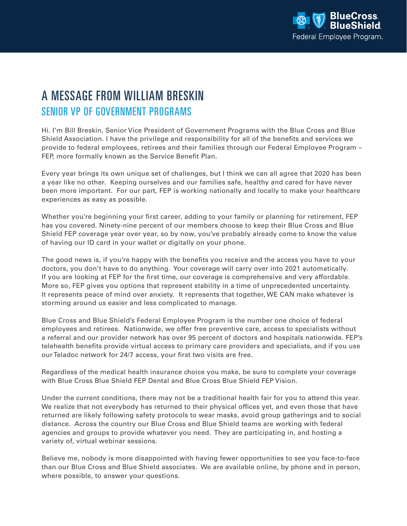

## A MESSAGE FROM WILLIAM BRESKIN SENIOR VP OF GOVERNMENT PROGRAMS

Hi. I'm Bill Breskin, Senior Vice President of Government Programs with the Blue Cross and Blue Shield Association. I have the privilege and responsibility for all of the benefits and services we provide to federal employees, retirees and their families through our Federal Employee Program – FEP, more formally known as the Service Benefit Plan.

Every year brings its own unique set of challenges, but I think we can all agree that 2020 has been a year like no other. Keeping ourselves and our families safe, healthy and cared for have never been more important. For our part, FEP is working nationally and locally to make your healthcare experiences as easy as possible.

Whether you're beginning your first career, adding to your family or planning for retirement, FEP has you covered. Ninety-nine percent of our members choose to keep their Blue Cross and Blue Shield FEP coverage year over year, so by now, you've probably already come to know the value of having our ID card in your wallet or digitally on your phone.

The good news is, if you're happy with the benefits you receive and the access you have to your doctors, you don't have to do anything. Your coverage will carry over into 2021 automatically. If you are looking at FEP for the first time, our coverage is comprehensive and very affordable. More so, FEP gives you options that represent stability in a time of unprecedented uncertainty. It represents peace of mind over anxiety. It represents that together, WE CAN make whatever is storming around us easier and less complicated to manage.

Blue Cross and Blue Shield's Federal Employee Program is the number one choice of federal employees and retirees. Nationwide, we offer free preventive care, access to specialists without a referral and our provider network has over 95 percent of doctors and hospitals nationwide. FEP's telehealth benefits provide virtual access to primary care providers and specialists, and if you use our Teladoc network for 24/7 access, your first two visits are free.

Regardless of the medical health insurance choice you make, be sure to complete your coverage with Blue Cross Blue Shield FEP Dental and Blue Cross Blue Shield FEP Vision.

Under the current conditions, there may not be a traditional health fair for you to attend this year. We realize that not everybody has returned to their physical offices yet, and even those that have returned are likely following safety protocols to wear masks, avoid group gatherings and to social distance. Across the country our Blue Cross and Blue Shield teams are working with federal agencies and groups to provide whatever you need. They are participating in, and hosting a variety of, virtual webinar sessions.

Believe me, nobody is more disappointed with having fewer opportunities to see you face-to-face than our Blue Cross and Blue Shield associates. We are available online, by phone and in person, where possible, to answer your questions.